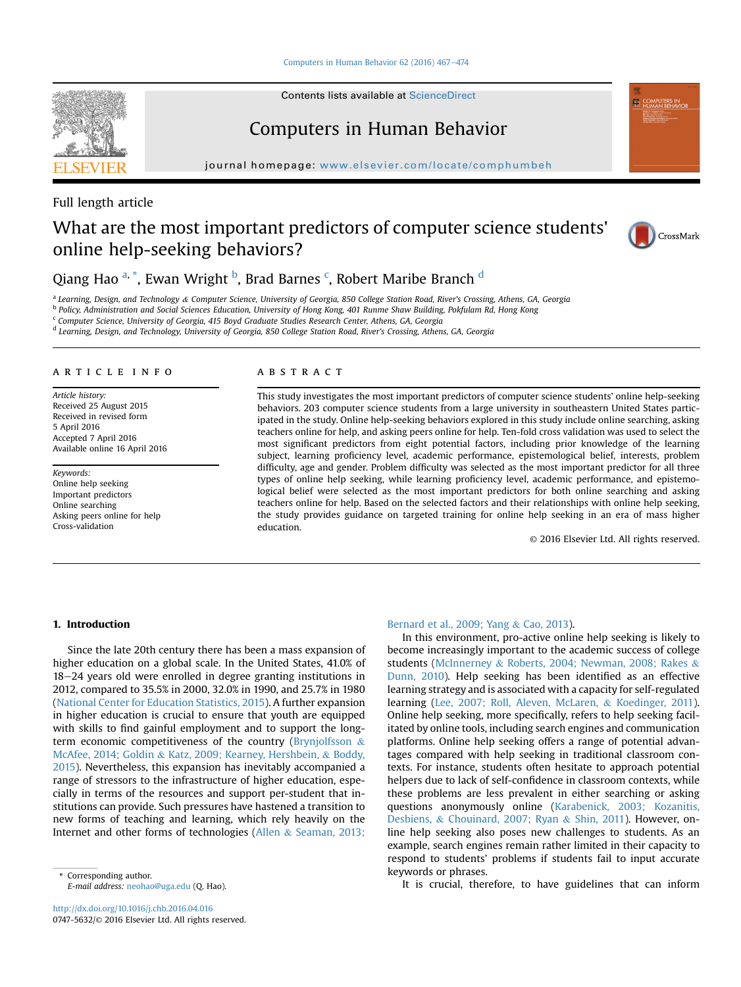[Computers in Human Behavior 62 \(2016\) 467](http://dx.doi.org/10.1016/j.chb.2016.04.016)-[474](http://dx.doi.org/10.1016/j.chb.2016.04.016)

Contents lists available at ScienceDirect

# Computers in Human Behavior

journal homepage: <www.elsevier.com/locate/comphumbeh>



# Full length article

# What are the most important predictors of computer science students' online help-seeking behaviors?



Qiang Hao <sup>a, \*</sup>, Ewan Wright <sup>b</sup>, Brad Barnes <sup>c</sup>, Robert Maribe Branch <sup>d</sup>

<sup>a</sup> Learning, Design, and Technology & Computer Science, University of Georgia, 850 College Station Road, River's Crossing, Athens, GA, Georgia

<sup>b</sup> Policy, Administration and Social Sciences Education, University of Hong Kong, 401 Runme Shaw Building, Pokfulam Rd, Hong Kong

<sup>c</sup> Computer Science, University of Georgia, 415 Boyd Graduate Studies Research Center, Athens, GA, Georgia

<sup>d</sup> Learning, Design, and Technology, University of Georgia, 850 College Station Road, River's Crossing, Athens, GA, Georgia

## article info

Article history: Received 25 August 2015 Received in revised form 5 April 2016 Accepted 7 April 2016 Available online 16 April 2016

Keywords: Online help seeking Important predictors Online searching Asking peers online for help Cross-validation

## ABSTRACT

This study investigates the most important predictors of computer science students' online help-seeking behaviors. 203 computer science students from a large university in southeastern United States participated in the study. Online help-seeking behaviors explored in this study include online searching, asking teachers online for help, and asking peers online for help. Ten-fold cross validation was used to select the most significant predictors from eight potential factors, including prior knowledge of the learning subject, learning proficiency level, academic performance, epistemological belief, interests, problem difficulty, age and gender. Problem difficulty was selected as the most important predictor for all three types of online help seeking, while learning proficiency level, academic performance, and epistemological belief were selected as the most important predictors for both online searching and asking teachers online for help. Based on the selected factors and their relationships with online help seeking, the study provides guidance on targeted training for online help seeking in an era of mass higher education.

© 2016 Elsevier Ltd. All rights reserved.

## 1. Introduction

Since the late 20th century there has been a mass expansion of higher education on a global scale. In the United States, 41.0% of 18-24 years old were enrolled in degree granting institutions in 2012, compared to 35.5% in 2000, 32.0% in 1990, and 25.7% in 1980 ([National Center for Education Statistics, 2015\)](#page-7-0). A further expansion in higher education is crucial to ensure that youth are equipped with skills to find gainful employment and to support the longterm economic competitiveness of the country [\(Brynjolfsson](#page-6-0) & [McAfee, 2014; Goldin](#page-6-0) & [Katz, 2009; Kearney, Hershbein,](#page-6-0) & [Boddy,](#page-6-0) [2015\)](#page-6-0). Nevertheless, this expansion has inevitably accompanied a range of stressors to the infrastructure of higher education, especially in terms of the resources and support per-student that institutions can provide. Such pressures have hastened a transition to new forms of teaching and learning, which rely heavily on the Internet and other forms of technologies ([Allen](#page-6-0) & [Seaman, 2013;](#page-6-0)

### [Bernard et al., 2009; Yang](#page-6-0) & [Cao, 2013](#page-6-0)).

In this environment, pro-active online help seeking is likely to become increasingly important to the academic success of college students [\(McInnerney](#page-7-0) & [Roberts, 2004; Newman, 2008; Rakes](#page-7-0) & [Dunn, 2010](#page-7-0)). Help seeking has been identified as an effective learning strategy and is associated with a capacity for self-regulated learning ([Lee, 2007; Roll, Aleven, McLaren,](#page-7-0) & [Koedinger, 2011\)](#page-7-0). Online help seeking, more specifically, refers to help seeking facilitated by online tools, including search engines and communication platforms. Online help seeking offers a range of potential advantages compared with help seeking in traditional classroom contexts. For instance, students often hesitate to approach potential helpers due to lack of self-confidence in classroom contexts, while these problems are less prevalent in either searching or asking questions anonymously online [\(Karabenick, 2003; Kozanitis,](#page-6-0) [Desbiens,](#page-6-0) & [Chouinard, 2007; Ryan](#page-6-0) & [Shin, 2011](#page-6-0)). However, online help seeking also poses new challenges to students. As an example, search engines remain rather limited in their capacity to respond to students' problems if students fail to input accurate keywords or phrases.

Corresponding author.<br>It is crucial, therefore, to have guidelines that can inform \* Corresponding author.

E-mail address: [neohao@uga.edu](mailto:neohao@uga.edu) (Q. Hao).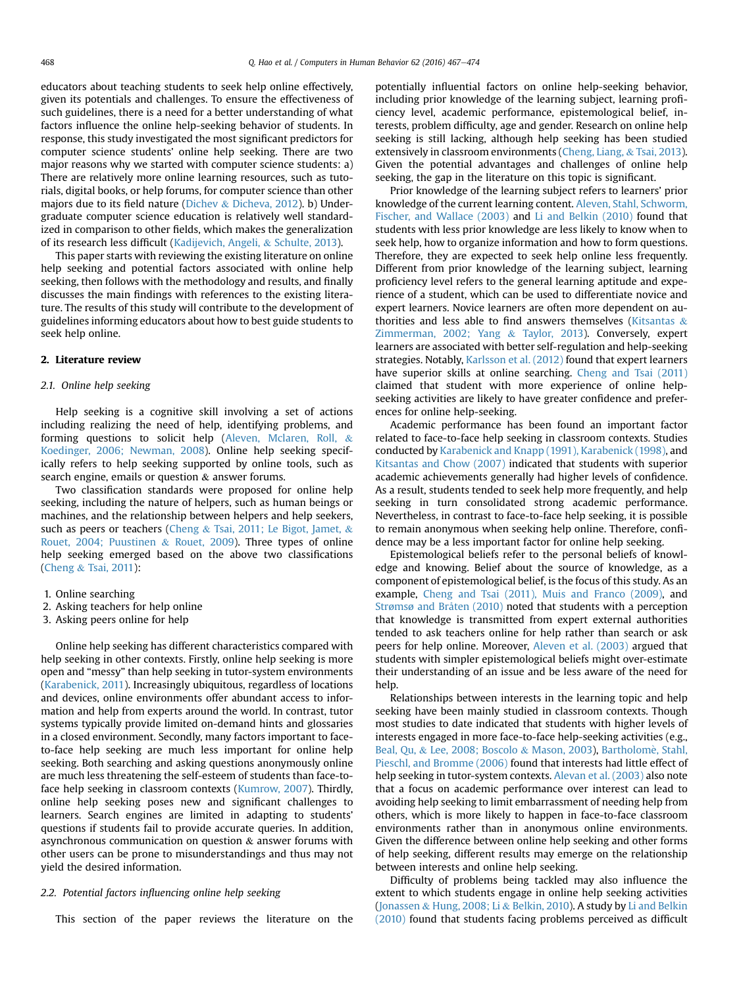educators about teaching students to seek help online effectively, given its potentials and challenges. To ensure the effectiveness of such guidelines, there is a need for a better understanding of what factors influence the online help-seeking behavior of students. In response, this study investigated the most significant predictors for computer science students' online help seeking. There are two major reasons why we started with computer science students: a) There are relatively more online learning resources, such as tutorials, digital books, or help forums, for computer science than other majors due to its field nature [\(Dichev](#page-6-0) & [Dicheva, 2012\)](#page-6-0). b) Undergraduate computer science education is relatively well standardized in comparison to other fields, which makes the generalization of its research less difficult ([Kadijevich, Angeli,](#page-6-0) & [Schulte, 2013\)](#page-6-0).

This paper starts with reviewing the existing literature on online help seeking and potential factors associated with online help seeking, then follows with the methodology and results, and finally discusses the main findings with references to the existing literature. The results of this study will contribute to the development of guidelines informing educators about how to best guide students to seek help online.

#### 2. Literature review

## 2.1. Online help seeking

Help seeking is a cognitive skill involving a set of actions including realizing the need of help, identifying problems, and forming questions to solicit help [\(Aleven, Mclaren, Roll,](#page-6-0) & [Koedinger, 2006; Newman, 2008](#page-6-0)). Online help seeking specifically refers to help seeking supported by online tools, such as search engine, emails or question & answer forums.

Two classification standards were proposed for online help seeking, including the nature of helpers, such as human beings or machines, and the relationship between helpers and help seekers, such as peers or teachers [\(Cheng](#page-6-0) & [Tsai, 2011; Le Bigot, Jamet,](#page-6-0) & [Rouet, 2004; Puustinen](#page-6-0) & [Rouet, 2009](#page-6-0)). Three types of online help seeking emerged based on the above two classifications ([Cheng](#page-6-0) & [Tsai, 2011\)](#page-6-0):

- 1. Online searching
- 2. Asking teachers for help online
- 3. Asking peers online for help

Online help seeking has different characteristics compared with help seeking in other contexts. Firstly, online help seeking is more open and "messy" than help seeking in tutor-system environments ([Karabenick, 2011\)](#page-6-0). Increasingly ubiquitous, regardless of locations and devices, online environments offer abundant access to information and help from experts around the world. In contrast, tutor systems typically provide limited on-demand hints and glossaries in a closed environment. Secondly, many factors important to faceto-face help seeking are much less important for online help seeking. Both searching and asking questions anonymously online are much less threatening the self-esteem of students than face-toface help seeking in classroom contexts [\(Kumrow, 2007](#page-7-0)). Thirdly, online help seeking poses new and significant challenges to learners. Search engines are limited in adapting to students' questions if students fail to provide accurate queries. In addition, asynchronous communication on question & answer forums with other users can be prone to misunderstandings and thus may not yield the desired information.

## 2.2. Potential factors influencing online help seeking

This section of the paper reviews the literature on the

potentially influential factors on online help-seeking behavior, including prior knowledge of the learning subject, learning proficiency level, academic performance, epistemological belief, interests, problem difficulty, age and gender. Research on online help seeking is still lacking, although help seeking has been studied extensively in classroom environments [\(Cheng, Liang,](#page-6-0) & [Tsai, 2013\)](#page-6-0). Given the potential advantages and challenges of online help seeking, the gap in the literature on this topic is significant.

Prior knowledge of the learning subject refers to learners' prior knowledge of the current learning content. [Aleven, Stahl, Schworm,](#page-6-0) [Fischer, and Wallace \(2003\)](#page-6-0) and [Li and Belkin \(2010\)](#page-7-0) found that students with less prior knowledge are less likely to know when to seek help, how to organize information and how to form questions. Therefore, they are expected to seek help online less frequently. Different from prior knowledge of the learning subject, learning proficiency level refers to the general learning aptitude and experience of a student, which can be used to differentiate novice and expert learners. Novice learners are often more dependent on au-thorities and less able to find answers themselves [\(Kitsantas](#page-7-0)  $\&$ [Zimmerman, 2002; Yang](#page-7-0) & [Taylor, 2013](#page-7-0)). Conversely, expert learners are associated with better self-regulation and help-seeking strategies. Notably, [Karlsson et al. \(2012\)](#page-7-0) found that expert learners have superior skills at online searching. [Cheng and Tsai \(2011\)](#page-6-0) claimed that student with more experience of online helpseeking activities are likely to have greater confidence and preferences for online help-seeking.

Academic performance has been found an important factor related to face-to-face help seeking in classroom contexts. Studies conducted by [Karabenick and Knapp \(1991\), Karabenick \(1998\)](#page-7-0), and [Kitsantas and Chow \(2007\)](#page-7-0) indicated that students with superior academic achievements generally had higher levels of confidence. As a result, students tended to seek help more frequently, and help seeking in turn consolidated strong academic performance. Nevertheless, in contrast to face-to-face help seeking, it is possible to remain anonymous when seeking help online. Therefore, confidence may be a less important factor for online help seeking.

Epistemological beliefs refer to the personal beliefs of knowledge and knowing. Belief about the source of knowledge, as a component of epistemological belief, is the focus of this study. As an example, [Cheng and Tsai \(2011\), Muis and Franco \(2009\)](#page-6-0), and [Strøms](#page-7-0)ø [and Bråten \(2010\)](#page-7-0) noted that students with a perception that knowledge is transmitted from expert external authorities tended to ask teachers online for help rather than search or ask peers for help online. Moreover, [Aleven et al. \(2003\)](#page-6-0) argued that students with simpler epistemological beliefs might over-estimate their understanding of an issue and be less aware of the need for help.

Relationships between interests in the learning topic and help seeking have been mainly studied in classroom contexts. Though most studies to date indicated that students with higher levels of interests engaged in more face-to-face help-seeking activities (e.g., [Beal, Qu,](#page-6-0) & [Lee, 2008; Boscolo](#page-6-0) & [Mason, 2003](#page-6-0)), [Bartholome, Stahl,](#page-6-0) [Pieschl, and Bromme \(2006\)](#page-6-0) found that interests had little effect of help seeking in tutor-system contexts. [Alevan et al. \(2003\)](#page-6-0) also note that a focus on academic performance over interest can lead to avoiding help seeking to limit embarrassment of needing help from others, which is more likely to happen in face-to-face classroom environments rather than in anonymous online environments. Given the difference between online help seeking and other forms of help seeking, different results may emerge on the relationship between interests and online help seeking.

Difficulty of problems being tackled may also influence the extent to which students engage in online help seeking activities ([Jonassen](#page-6-0) & [Hung, 2008; Li](#page-6-0) & [Belkin, 2010\)](#page-6-0). A study by [Li and Belkin](#page-7-0) [\(2010\)](#page-7-0) found that students facing problems perceived as difficult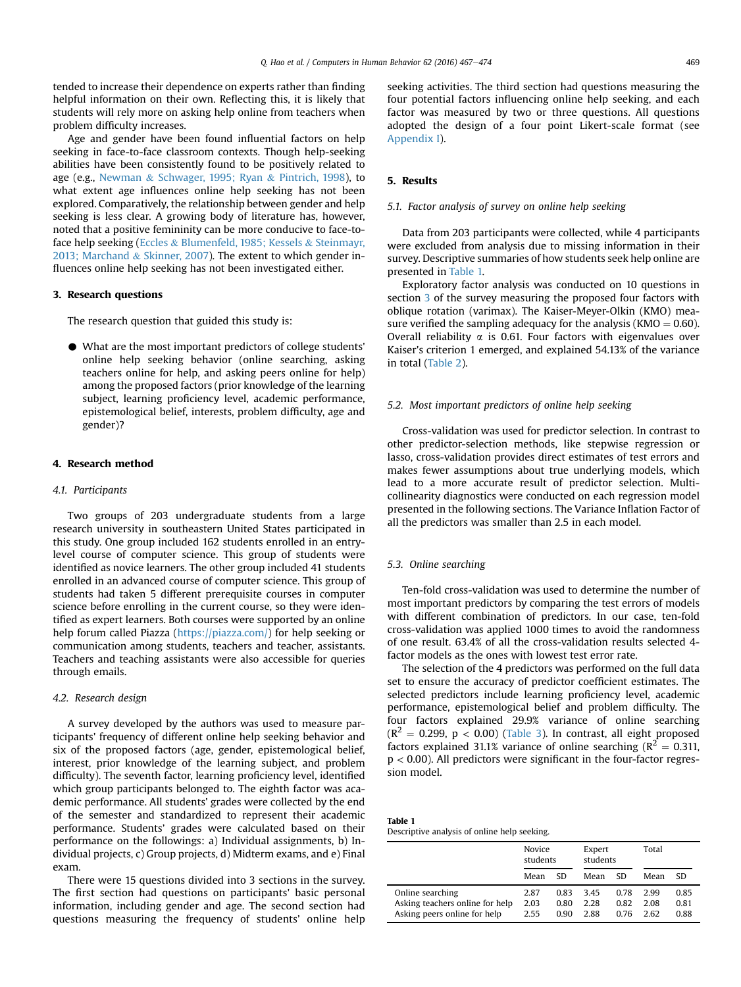tended to increase their dependence on experts rather than finding helpful information on their own. Reflecting this, it is likely that students will rely more on asking help online from teachers when problem difficulty increases.

Age and gender have been found influential factors on help seeking in face-to-face classroom contexts. Though help-seeking abilities have been consistently found to be positively related to age (e.g., [Newman](#page-7-0) & [Schwager, 1995; Ryan](#page-7-0) & [Pintrich, 1998\)](#page-7-0), to what extent age influences online help seeking has not been explored. Comparatively, the relationship between gender and help seeking is less clear. A growing body of literature has, however, noted that a positive femininity can be more conducive to face-toface help seeking [\(Eccles](#page-6-0) & [Blumenfeld, 1985; Kessels](#page-6-0) & [Steinmayr,](#page-6-0) [2013; Marchand](#page-6-0) & [Skinner, 2007\)](#page-6-0). The extent to which gender influences online help seeking has not been investigated either.

#### 3. Research questions

The research question that guided this study is:

C What are the most important predictors of college students' online help seeking behavior (online searching, asking teachers online for help, and asking peers online for help) among the proposed factors (prior knowledge of the learning subject, learning proficiency level, academic performance, epistemological belief, interests, problem difficulty, age and gender)?

#### 4. Research method

## 4.1. Participants

Two groups of 203 undergraduate students from a large research university in southeastern United States participated in this study. One group included 162 students enrolled in an entrylevel course of computer science. This group of students were identified as novice learners. The other group included 41 students enrolled in an advanced course of computer science. This group of students had taken 5 different prerequisite courses in computer science before enrolling in the current course, so they were identified as expert learners. Both courses were supported by an online help forum called Piazza [\(https://piazza.com/](https://piazza.com/)) for help seeking or communication among students, teachers and teacher, assistants. Teachers and teaching assistants were also accessible for queries through emails.

## 4.2. Research design

A survey developed by the authors was used to measure participants' frequency of different online help seeking behavior and six of the proposed factors (age, gender, epistemological belief, interest, prior knowledge of the learning subject, and problem difficulty). The seventh factor, learning proficiency level, identified which group participants belonged to. The eighth factor was academic performance. All students' grades were collected by the end of the semester and standardized to represent their academic performance. Students' grades were calculated based on their performance on the followings: a) Individual assignments, b) Individual projects, c) Group projects, d) Midterm exams, and e) Final exam.

There were 15 questions divided into 3 sections in the survey. The first section had questions on participants' basic personal information, including gender and age. The second section had questions measuring the frequency of students' online help

seeking activities. The third section had questions measuring the four potential factors influencing online help seeking, and each factor was measured by two or three questions. All questions adopted the design of a four point Likert-scale format (see [Appendix I\)](#page-5-0).

## 5. Results

## 5.1. Factor analysis of survey on online help seeking

Data from 203 participants were collected, while 4 participants were excluded from analysis due to missing information in their survey. Descriptive summaries of how students seek help online are presented in Table 1.

Exploratory factor analysis was conducted on 10 questions in section 3 of the survey measuring the proposed four factors with oblique rotation (varimax). The Kaiser-Meyer-Olkin (KMO) measure verified the sampling adequacy for the analysis ( $KMO = 0.60$ ). Overall reliability  $\alpha$  is 0.61. Four factors with eigenvalues over Kaiser's criterion 1 emerged, and explained 54.13% of the variance in total [\(Table 2](#page-3-0)).

## 5.2. Most important predictors of online help seeking

Cross-validation was used for predictor selection. In contrast to other predictor-selection methods, like stepwise regression or lasso, cross-validation provides direct estimates of test errors and makes fewer assumptions about true underlying models, which lead to a more accurate result of predictor selection. Multicollinearity diagnostics were conducted on each regression model presented in the following sections. The Variance Inflation Factor of all the predictors was smaller than 2.5 in each model.

## 5.3. Online searching

Ten-fold cross-validation was used to determine the number of most important predictors by comparing the test errors of models with different combination of predictors. In our case, ten-fold cross-validation was applied 1000 times to avoid the randomness of one result. 63.4% of all the cross-validation results selected 4 factor models as the ones with lowest test error rate.

The selection of the 4 predictors was performed on the full data set to ensure the accuracy of predictor coefficient estimates. The selected predictors include learning proficiency level, academic performance, epistemological belief and problem difficulty. The four factors explained 29.9% variance of online searching  $(R^2 = 0.299, p < 0.00)$  [\(Table 3\)](#page-3-0). In contrast, all eight proposed factors explained 31.1% variance of online searching ( $R^2 = 0.311$ ,  $p < 0.00$ ). All predictors were significant in the four-factor regression model.

| Table 1                                      |  |  |
|----------------------------------------------|--|--|
| Descriptive analysis of online help seeking. |  |  |

Table 1

|                                                                                     | Novice<br>students   |                      | Expert<br>students   |                      | Total                |                      |
|-------------------------------------------------------------------------------------|----------------------|----------------------|----------------------|----------------------|----------------------|----------------------|
|                                                                                     | Mean                 | SD                   | Mean                 | SD                   | Mean                 | SD                   |
| Online searching<br>Asking teachers online for help<br>Asking peers online for help | 2.87<br>2.03<br>2.55 | 0.83<br>0.80<br>0.90 | 3.45<br>2.28<br>2.88 | 0.78<br>0.82<br>0.76 | 2.99<br>2.08<br>2.62 | 0.85<br>0.81<br>0.88 |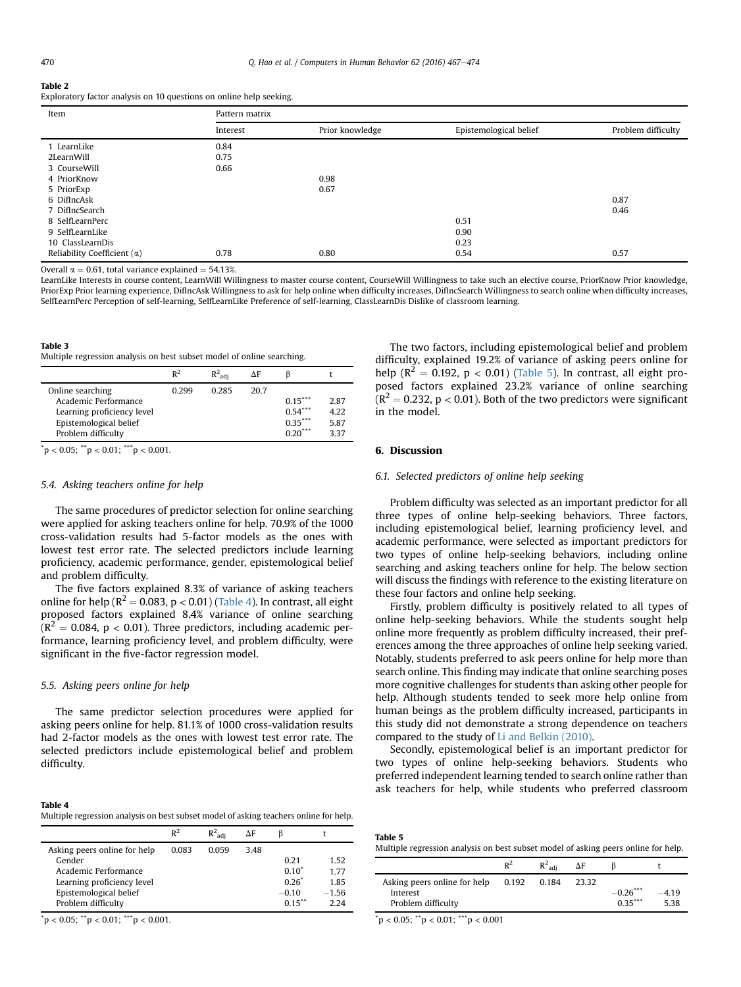#### <span id="page-3-0"></span>Table 2

Exploratory factor analysis on 10 questions on online help seeking.

| Item                               | Pattern matrix |                 |                        |                    |  |
|------------------------------------|----------------|-----------------|------------------------|--------------------|--|
|                                    | Interest       | Prior knowledge | Epistemological belief | Problem difficulty |  |
| 1 LearnLike                        | 0.84           |                 |                        |                    |  |
| 2LearnWill                         | 0.75           |                 |                        |                    |  |
| 3 CourseWill                       | 0.66           |                 |                        |                    |  |
| 4 PriorKnow                        |                | 0.98            |                        |                    |  |
| 5 PriorExp                         |                | 0.67            |                        |                    |  |
| 6 DifIncAsk                        |                |                 |                        | 0.87               |  |
| 7 DifIncSearch                     |                |                 |                        | 0.46               |  |
| 8 SelfLearnPerc                    |                |                 | 0.51                   |                    |  |
| 9 SelfLearnLike                    |                |                 | 0.90                   |                    |  |
| 10 ClassLearnDis                   |                |                 | 0.23                   |                    |  |
| Reliability Coefficient $(\alpha)$ | 0.78           | 0.80            | 0.54                   | 0.57               |  |

Overall  $\alpha = 0.61$ , total variance explained = 54.13%.

LearnLike Interests in course content, LearnWill Willingness to master course content, CourseWill Willingness to take such an elective course, PriorKnow Prior knowledge, PriorExp Prior learning experience, DifIncAsk Willingness to ask for help online when difficulty increases, DifIncSearch Willingness to search online when difficulty increases, SelfLearnPerc Perception of self-learning, SelfLearnLike Preference of self-learning, ClassLearnDis Dislike of classroom learning.

## Table 3 Multiple regression analysis on best subset model of online searching.

|                            | $R^2$ | $R^2_{\text{adj}}$ |      |           |      |
|----------------------------|-------|--------------------|------|-----------|------|
| Online searching           | 0.299 | 0.285              | 20.7 |           |      |
| Academic Performance       |       |                    |      | $0.15***$ | 2.87 |
| Learning proficiency level |       |                    |      | $0.54***$ | 4.22 |
| Epistemological belief     |       |                    |      | $0.35***$ | 5.87 |
| Problem difficulty         |       |                    |      | በ 20      | 337  |

 $p < 0.05$ ;  $p < 0.01$ ;  $p > 0.001$ .

#### 5.4. Asking teachers online for help

The same procedures of predictor selection for online searching were applied for asking teachers online for help. 70.9% of the 1000 cross-validation results had 5-factor models as the ones with lowest test error rate. The selected predictors include learning proficiency, academic performance, gender, epistemological belief and problem difficulty.

The five factors explained 8.3% of variance of asking teachers online for help ( $R^2 = 0.083$ , p < 0.01) (Table 4). In contrast, all eight proposed factors explained 8.4% variance of online searching  $(R^2 = 0.084, p < 0.01)$ . Three predictors, including academic performance, learning proficiency level, and problem difficulty, were significant in the five-factor regression model.

## 5.5. Asking peers online for help

The same predictor selection procedures were applied for asking peers online for help. 81.1% of 1000 cross-validation results had 2-factor models as the ones with lowest test error rate. The selected predictors include epistemological belief and problem difficulty.

#### Table 4

| Multiple regression analysis on best subset model of asking teachers online for help. |
|---------------------------------------------------------------------------------------|
|---------------------------------------------------------------------------------------|

|                                                                                                                                                                                                                                                                                                                                                   | $R^2$ | $R^2_{\text{adi}}$ | ΔF   |            |         |
|---------------------------------------------------------------------------------------------------------------------------------------------------------------------------------------------------------------------------------------------------------------------------------------------------------------------------------------------------|-------|--------------------|------|------------|---------|
| Asking peers online for help                                                                                                                                                                                                                                                                                                                      | 0.083 | 0.059              | 3.48 |            |         |
| Gender                                                                                                                                                                                                                                                                                                                                            |       |                    |      | 0.21       | 1.52    |
| Academic Performance                                                                                                                                                                                                                                                                                                                              |       |                    |      | $0.10^{4}$ | 1.77    |
| Learning proficiency level                                                                                                                                                                                                                                                                                                                        |       |                    |      | $0.26*$    | 1.85    |
| Epistemological belief                                                                                                                                                                                                                                                                                                                            |       |                    |      | $-0.10$    | $-1.56$ |
| Problem difficulty                                                                                                                                                                                                                                                                                                                                |       |                    |      | $0.15***$  | 2.24    |
| the contract of the contract of the contract of the contract of the contract of the contract of the contract of<br>and the contract of the contract of the contract of the contract of the contract of the contract of the contract of the contract of the contract of the contract of the contract of the contract of the contract of the contra |       |                    |      |            |         |

 $p < 0.05$ ;  $p < 0.01$ ;  $p > 0.001$ .

The two factors, including epistemological belief and problem difficulty, explained 19.2% of variance of asking peers online for help ( $R^2 = 0.192$ , p < 0.01) (Table 5). In contrast, all eight proposed factors explained 23.2% variance of online searching  $(R^{2} = 0.232, p < 0.01)$ . Both of the two predictors were significant in the model.

## 6. Discussion

## 6.1. Selected predictors of online help seeking

Problem difficulty was selected as an important predictor for all three types of online help-seeking behaviors. Three factors, including epistemological belief, learning proficiency level, and academic performance, were selected as important predictors for two types of online help-seeking behaviors, including online searching and asking teachers online for help. The below section will discuss the findings with reference to the existing literature on these four factors and online help seeking.

Firstly, problem difficulty is positively related to all types of online help-seeking behaviors. While the students sought help online more frequently as problem difficulty increased, their preferences among the three approaches of online help seeking varied. Notably, students preferred to ask peers online for help more than search online. This finding may indicate that online searching poses more cognitive challenges for students than asking other people for help. Although students tended to seek more help online from human beings as the problem difficulty increased, participants in this study did not demonstrate a strong dependence on teachers compared to the study of [Li and Belkin \(2010\).](#page-7-0)

Secondly, epistemological belief is an important predictor for two types of online help-seeking behaviors. Students who preferred independent learning tended to search online rather than ask teachers for help, while students who preferred classroom

| Table 5                                                                            |  |
|------------------------------------------------------------------------------------|--|
| Multiple regression analysis on best subset model of asking peers online for help. |  |

|                                                                | $R^2$ | $R^2$ <sub>adi</sub> | ΔF    |                         |                |
|----------------------------------------------------------------|-------|----------------------|-------|-------------------------|----------------|
| Asking peers online for help<br>Interest<br>Problem difficulty | 0.192 | 0.184                | 23.32 | $-0.26***$<br>$0.35***$ | $-4.19$<br>538 |

 $p < 0.05$ ; \*\*p  $< 0.01$ ; \*\*\*p  $< 0.001$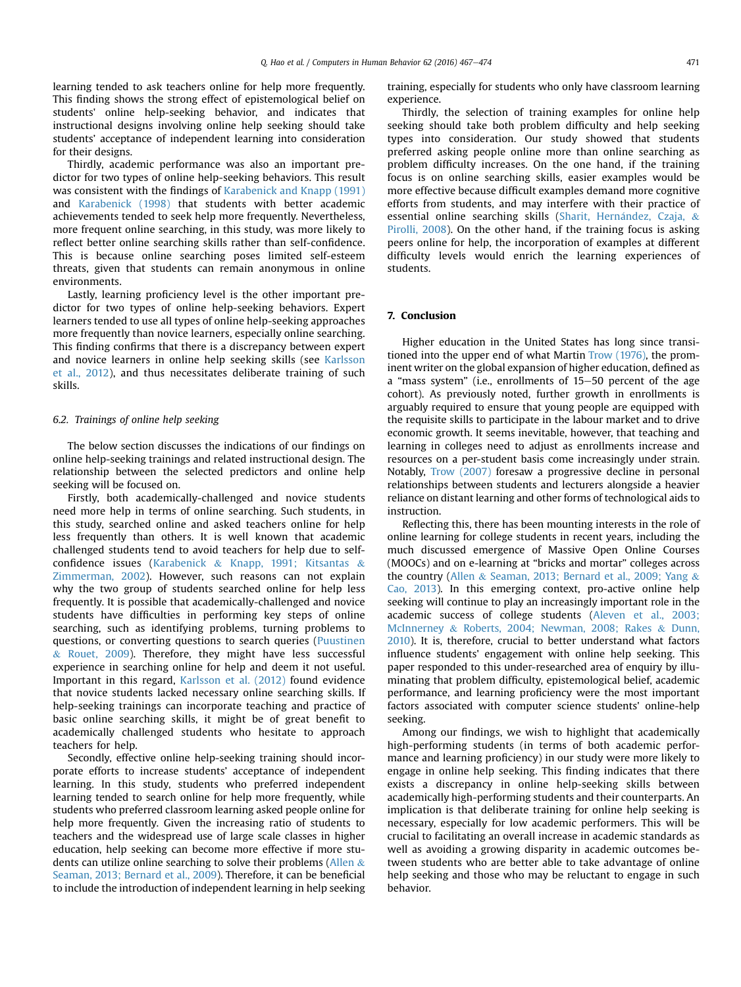learning tended to ask teachers online for help more frequently. This finding shows the strong effect of epistemological belief on students' online help-seeking behavior, and indicates that instructional designs involving online help seeking should take students' acceptance of independent learning into consideration for their designs.

Thirdly, academic performance was also an important predictor for two types of online help-seeking behaviors. This result was consistent with the findings of [Karabenick and Knapp \(1991\)](#page-7-0) and [Karabenick \(1998\)](#page-6-0) that students with better academic achievements tended to seek help more frequently. Nevertheless, more frequent online searching, in this study, was more likely to reflect better online searching skills rather than self-confidence. This is because online searching poses limited self-esteem threats, given that students can remain anonymous in online environments.

Lastly, learning proficiency level is the other important predictor for two types of online help-seeking behaviors. Expert learners tended to use all types of online help-seeking approaches more frequently than novice learners, especially online searching. This finding confirms that there is a discrepancy between expert and novice learners in online help seeking skills (see [Karlsson](#page-7-0) [et al., 2012\)](#page-7-0), and thus necessitates deliberate training of such skills.

## 6.2. Trainings of online help seeking

The below section discusses the indications of our findings on online help-seeking trainings and related instructional design. The relationship between the selected predictors and online help seeking will be focused on.

Firstly, both academically-challenged and novice students need more help in terms of online searching. Such students, in this study, searched online and asked teachers online for help less frequently than others. It is well known that academic challenged students tend to avoid teachers for help due to selfconfidence issues [\(Karabenick](#page-7-0) & [Knapp, 1991; Kitsantas](#page-7-0) & [Zimmerman, 2002](#page-7-0)). However, such reasons can not explain why the two group of students searched online for help less frequently. It is possible that academically-challenged and novice students have difficulties in performing key steps of online searching, such as identifying problems, turning problems to questions, or converting questions to search queries [\(Puustinen](#page-7-0) & [Rouet, 2009](#page-7-0)). Therefore, they might have less successful experience in searching online for help and deem it not useful. Important in this regard, [Karlsson et al. \(2012\)](#page-7-0) found evidence that novice students lacked necessary online searching skills. If help-seeking trainings can incorporate teaching and practice of basic online searching skills, it might be of great benefit to academically challenged students who hesitate to approach teachers for help.

Secondly, effective online help-seeking training should incorporate efforts to increase students' acceptance of independent learning. In this study, students who preferred independent learning tended to search online for help more frequently, while students who preferred classroom learning asked people online for help more frequently. Given the increasing ratio of students to teachers and the widespread use of large scale classes in higher education, help seeking can become more effective if more students can utilize online searching to solve their problems [\(Allen](#page-6-0) & [Seaman, 2013; Bernard et al., 2009](#page-6-0)). Therefore, it can be beneficial to include the introduction of independent learning in help seeking

training, especially for students who only have classroom learning experience.

Thirdly, the selection of training examples for online help seeking should take both problem difficulty and help seeking types into consideration. Our study showed that students preferred asking people online more than online searching as problem difficulty increases. On the one hand, if the training focus is on online searching skills, easier examples would be more effective because difficult examples demand more cognitive efforts from students, and may interfere with their practice of essential online searching skills (Sharit, Hernández, Czaja, & [Pirolli, 2008](#page-7-0)). On the other hand, if the training focus is asking peers online for help, the incorporation of examples at different difficulty levels would enrich the learning experiences of students.

## 7. Conclusion

Higher education in the United States has long since transitioned into the upper end of what Martin [Trow \(1976\)](#page-7-0), the prominent writer on the global expansion of higher education, defined as a "mass system" (i.e., enrollments of  $15-50$  percent of the age cohort). As previously noted, further growth in enrollments is arguably required to ensure that young people are equipped with the requisite skills to participate in the labour market and to drive economic growth. It seems inevitable, however, that teaching and learning in colleges need to adjust as enrollments increase and resources on a per-student basis come increasingly under strain. Notably, [Trow \(2007\)](#page-7-0) foresaw a progressive decline in personal relationships between students and lecturers alongside a heavier reliance on distant learning and other forms of technological aids to instruction.

Reflecting this, there has been mounting interests in the role of online learning for college students in recent years, including the much discussed emergence of Massive Open Online Courses (MOOCs) and on e-learning at "bricks and mortar" colleges across the country [\(Allen](#page-6-0) & [Seaman, 2013; Bernard et al., 2009; Yang](#page-6-0) & [Cao, 2013](#page-6-0)). In this emerging context, pro-active online help seeking will continue to play an increasingly important role in the academic success of college students [\(Aleven et al., 2003;](#page-6-0) [McInnerney](#page-6-0) & [Roberts, 2004; Newman, 2008; Rakes](#page-6-0) & [Dunn,](#page-6-0) [2010\)](#page-6-0). It is, therefore, crucial to better understand what factors influence students' engagement with online help seeking. This paper responded to this under-researched area of enquiry by illuminating that problem difficulty, epistemological belief, academic performance, and learning proficiency were the most important factors associated with computer science students' online-help seeking.

Among our findings, we wish to highlight that academically high-performing students (in terms of both academic performance and learning proficiency) in our study were more likely to engage in online help seeking. This finding indicates that there exists a discrepancy in online help-seeking skills between academically high-performing students and their counterparts. An implication is that deliberate training for online help seeking is necessary, especially for low academic performers. This will be crucial to facilitating an overall increase in academic standards as well as avoiding a growing disparity in academic outcomes between students who are better able to take advantage of online help seeking and those who may be reluctant to engage in such behavior.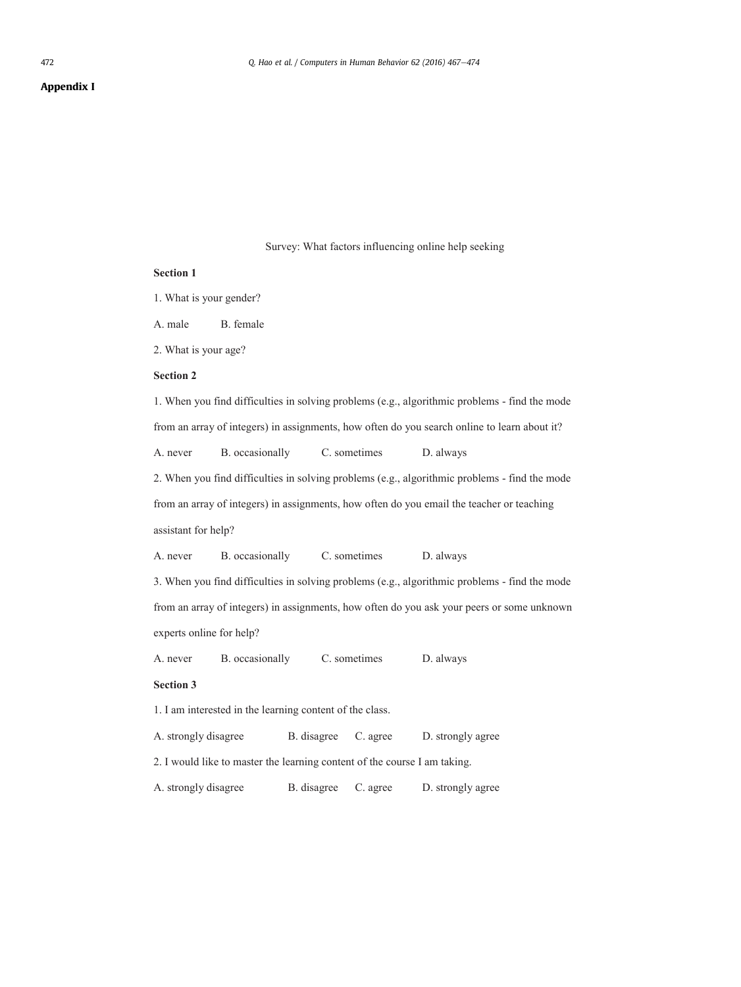## <span id="page-5-0"></span>Appendix I

Survey: What factors influencing online help seeking

# **Section 1**

- 1. What is your gender?
- A. male B. female

2. What is your age?

## **Section 2**

1. When you find difficulties in solving problems (e.g., algorithmic problems - find the mode from an array of integers) in assignments, how often do you search online to learn about it?

A. never B. occasionally C. sometimes D. always

2. When you find difficulties in solving problems (e.g., algorithmic problems - find the mode from an array of integers) in assignments, how often do you email the teacher or teaching assistant for help?

A. never B. occasionally C. sometimes D. always

3. When you find difficulties in solving problems (e.g., algorithmic problems - find the mode from an array of integers) in assignments, how often do you ask your peers or some unknown experts online for help?

A. never B. occasionally C. sometimes D. always

# **Section 3**

1. I am interested in the learning content of the class.

A. strongly disagree B. disagree C. agree D. strongly agree

2. I would like to master the learning content of the course I am taking.

A. strongly disagree B. disagree C. agree D. strongly agree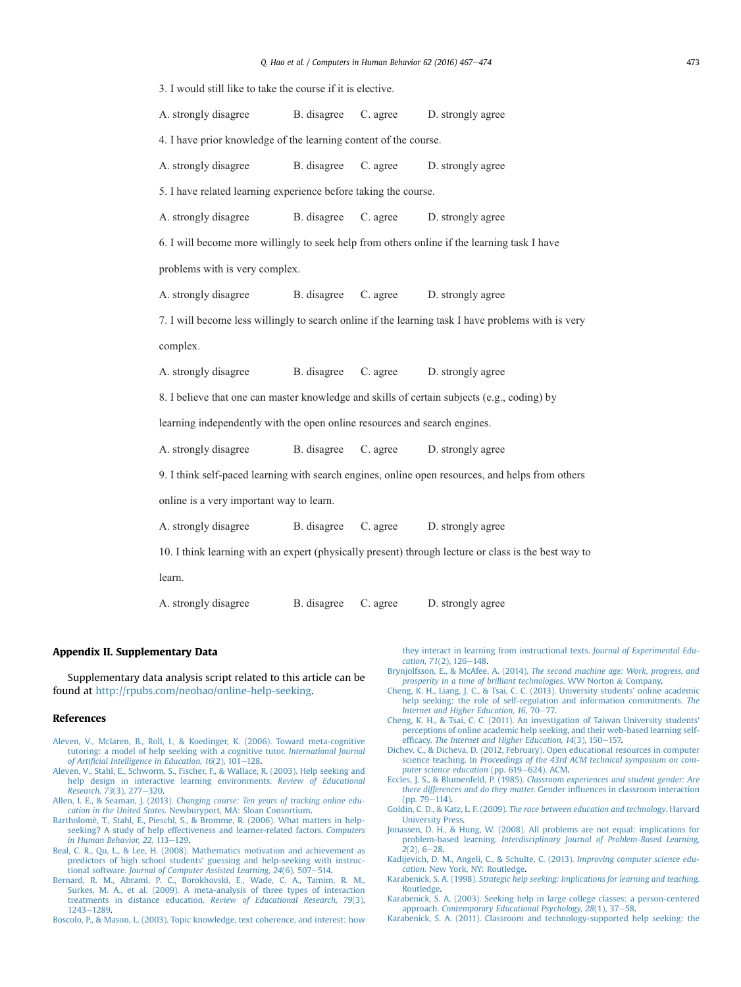<span id="page-6-0"></span>

| 3. I would still like to take the course if it is elective.                                          |                                                                 |          |                                                                                                    |  |  |  |  |  |
|------------------------------------------------------------------------------------------------------|-----------------------------------------------------------------|----------|----------------------------------------------------------------------------------------------------|--|--|--|--|--|
| A. strongly disagree                                                                                 | B. disagree                                                     | C. agree | D. strongly agree                                                                                  |  |  |  |  |  |
| 4. I have prior knowledge of the learning content of the course.                                     |                                                                 |          |                                                                                                    |  |  |  |  |  |
| A. strongly disagree                                                                                 | B. disagree                                                     | C. agree | D. strongly agree                                                                                  |  |  |  |  |  |
|                                                                                                      | 5. I have related learning experience before taking the course. |          |                                                                                                    |  |  |  |  |  |
| A. strongly disagree                                                                                 | B. disagree                                                     | C. agree | D. strongly agree                                                                                  |  |  |  |  |  |
|                                                                                                      |                                                                 |          | 6. I will become more willingly to seek help from others online if the learning task I have        |  |  |  |  |  |
| problems with is very complex.                                                                       |                                                                 |          |                                                                                                    |  |  |  |  |  |
| A. strongly disagree                                                                                 | B. disagree                                                     | C. agree | D. strongly agree                                                                                  |  |  |  |  |  |
|                                                                                                      |                                                                 |          | 7. I will become less willingly to search online if the learning task I have problems with is very |  |  |  |  |  |
| complex.                                                                                             |                                                                 |          |                                                                                                    |  |  |  |  |  |
| A. strongly disagree                                                                                 | B. disagree                                                     | C. agree | D. strongly agree                                                                                  |  |  |  |  |  |
|                                                                                                      |                                                                 |          | 8. I believe that one can master knowledge and skills of certain subjects (e.g., coding) by        |  |  |  |  |  |
| learning independently with the open online resources and search engines.                            |                                                                 |          |                                                                                                    |  |  |  |  |  |
| A. strongly disagree                                                                                 | B. disagree                                                     | C. agree | D. strongly agree                                                                                  |  |  |  |  |  |
| 9. I think self-paced learning with search engines, online open resources, and helps from others     |                                                                 |          |                                                                                                    |  |  |  |  |  |
| online is a very important way to learn.                                                             |                                                                 |          |                                                                                                    |  |  |  |  |  |
| A. strongly disagree                                                                                 | B. disagree                                                     | C. agree | D. strongly agree                                                                                  |  |  |  |  |  |
| 10. I think learning with an expert (physically present) through lecture or class is the best way to |                                                                 |          |                                                                                                    |  |  |  |  |  |
| learn.                                                                                               |                                                                 |          |                                                                                                    |  |  |  |  |  |
| A. strongly disagree                                                                                 | B. disagree                                                     | C. agree | D. strongly agree                                                                                  |  |  |  |  |  |

## Appendix II. Supplementary Data

Supplementary data analysis script related to this article can be found at <http://rpubs.com/neohao/online-help-seeking>.

#### References

- [Aleven, V., Mclaren, B., Roll, I., & Koedinger, K. \(2006\). Toward meta-cognitive](http://refhub.elsevier.com/S0747-5632(16)30287-4/sref1) [tutoring: a model of help seeking with a cognitive tutor.](http://refhub.elsevier.com/S0747-5632(16)30287-4/sref1) International Journal of Artificial Intelligence in Education,  $16(2)$ ,  $101-128$  $101-128$ .
- [Aleven, V., Stahl, E., Schworm, S., Fischer, F., & Wallace, R. \(2003\). Help seeking and](http://refhub.elsevier.com/S0747-5632(16)30287-4/sref2) [help design in interactive learning environments.](http://refhub.elsevier.com/S0747-5632(16)30287-4/sref2) Review of Educational [Research, 73](http://refhub.elsevier.com/S0747-5632(16)30287-4/sref2)(3), 277-[320.](http://refhub.elsevier.com/S0747-5632(16)30287-4/sref2)
- Allen, I. E., & Seaman, J. (2013). [Changing course: Ten years of tracking online edu-](http://refhub.elsevier.com/S0747-5632(16)30287-4/sref3)cation in the United States[. Newburyport, MA: Sloan Consortium.](http://refhub.elsevier.com/S0747-5632(16)30287-4/sref3)
- [Bartholom](http://refhub.elsevier.com/S0747-5632(16)30287-4/sref4)e[, T., Stahl, E., Pieschl, S., & Bromme, R. \(2006\). What matters in help](http://refhub.elsevier.com/S0747-5632(16)30287-4/sref4) [seeking? A study of help effectiveness and learner-related factors.](http://refhub.elsevier.com/S0747-5632(16)30287-4/sref4) Computers [in Human Behavior, 22](http://refhub.elsevier.com/S0747-5632(16)30287-4/sref4),  $113-129$ .
- [Beal, C. R., Qu, L., & Lee, H. \(2008\). Mathematics motivation and achievement as](http://refhub.elsevier.com/S0747-5632(16)30287-4/sref5) [predictors of high school students' guessing and help-seeking with instruc-](http://refhub.elsevier.com/S0747-5632(16)30287-4/sref5)tional software. [Journal of Computer Assisted Learning, 24](http://refhub.elsevier.com/S0747-5632(16)30287-4/sref5)(6), 507-[514](http://refhub.elsevier.com/S0747-5632(16)30287-4/sref5).
- [Bernard, R. M., Abrami, P. C., Borokhovski, E., Wade, C. A., Tamim, R. M.,](http://refhub.elsevier.com/S0747-5632(16)30287-4/sref6) [Surkes, M. A., et al. \(2009\). A meta-analysis of three types of interaction](http://refhub.elsevier.com/S0747-5632(16)30287-4/sref6) treatments in distance education. [Review of Educational Research, 79](http://refhub.elsevier.com/S0747-5632(16)30287-4/sref6)(3), [1243](http://refhub.elsevier.com/S0747-5632(16)30287-4/sref6)-[1289.](http://refhub.elsevier.com/S0747-5632(16)30287-4/sref6)

[Boscolo, P., & Mason, L. \(2003\). Topic knowledge, text coherence, and interest: how](http://refhub.elsevier.com/S0747-5632(16)30287-4/sref7)

[they interact in learning from instructional texts.](http://refhub.elsevier.com/S0747-5632(16)30287-4/sref7) Journal of Experimental Edu[cation, 71](http://refhub.elsevier.com/S0747-5632(16)30287-4/sref7)(2), 126-[148](http://refhub.elsevier.com/S0747-5632(16)30287-4/sref7).

- Brynjolfsson, E., & McAfee, A. (2014). [The second machine age: Work, progress, and](http://refhub.elsevier.com/S0747-5632(16)30287-4/sref8) [prosperity in a time of brilliant technologies](http://refhub.elsevier.com/S0747-5632(16)30287-4/sref8). WW Norton & [Company.](http://refhub.elsevier.com/S0747-5632(16)30287-4/sref8)
- [Cheng, K. H., Liang, J. C., & Tsai, C. C. \(2013\). University students' online academic](http://refhub.elsevier.com/S0747-5632(16)30287-4/sref9) [help seeking: the role of self-regulation and information commitments.](http://refhub.elsevier.com/S0747-5632(16)30287-4/sref9) The [Internet and Higher Education, 16](http://refhub.elsevier.com/S0747-5632(16)30287-4/sref9), 70-[77.](http://refhub.elsevier.com/S0747-5632(16)30287-4/sref9)
- [Cheng, K. H., & Tsai, C. C. \(2011\). An investigation of Taiwan University students'](http://refhub.elsevier.com/S0747-5632(16)30287-4/sref10) [perceptions of online academic help seeking, and their web-based learning self-](http://refhub.elsevier.com/S0747-5632(16)30287-4/sref10)efficacy. [The Internet and Higher Education, 14](http://refhub.elsevier.com/S0747-5632(16)30287-4/sref10)(3), 150-[157.](http://refhub.elsevier.com/S0747-5632(16)30287-4/sref10)
- [Dichev, C., & Dicheva, D. \(2012, February\). Open educational resources in computer](http://refhub.elsevier.com/S0747-5632(16)30287-4/sref11) science teaching. In [Proceedings of the 43rd ACM technical symposium on com](http://refhub.elsevier.com/S0747-5632(16)30287-4/sref11)[puter science education](http://refhub.elsevier.com/S0747-5632(16)30287-4/sref11) (pp. 619-[624\). ACM](http://refhub.elsevier.com/S0747-5632(16)30287-4/sref11).
- Eccles, J. S., & Blumenfeld, P. (1985). [Classroom experiences and student gender: Are](http://refhub.elsevier.com/S0747-5632(16)30287-4/sref12) [there differences and do they matter](http://refhub.elsevier.com/S0747-5632(16)30287-4/sref12). Gender influences in classroom interaction  $(pp. 79-114).$  $(pp. 79-114).$  $(pp. 79-114).$
- Goldin, C. D., & Katz, L. F. (2009). [The race between education and technology](http://refhub.elsevier.com/S0747-5632(16)30287-4/sref13). Harvard [University Press](http://refhub.elsevier.com/S0747-5632(16)30287-4/sref13).
- [Jonassen, D. H., & Hung, W. \(2008\). All problems are not equal: implications for](http://refhub.elsevier.com/S0747-5632(16)30287-4/sref14) problem-based learning. [Interdisciplinary Journal of Problem-Based Learning,](http://refhub.elsevier.com/S0747-5632(16)30287-4/sref14)  $2(2), 6-28.$  $2(2), 6-28.$  $2(2), 6-28.$  $2(2), 6-28.$
- [Kadijevich, D. M., Angeli, C., & Schulte, C. \(2013\).](http://refhub.elsevier.com/S0747-5632(16)30287-4/sref15) Improving computer science education[. New York, NY: Routledge.](http://refhub.elsevier.com/S0747-5632(16)30287-4/sref15)
- Karabenick, S. A. (1998). [Strategic help seeking: Implications for learning and teaching](http://refhub.elsevier.com/S0747-5632(16)30287-4/sref16). [Routledge.](http://refhub.elsevier.com/S0747-5632(16)30287-4/sref16)
- [Karabenick, S. A. \(2003\). Seeking help in large college classes: a person-centered](http://refhub.elsevier.com/S0747-5632(16)30287-4/sref17) approach. Contemporary Educational Psychology,  $28(1)$ , 37-[58](http://refhub.elsevier.com/S0747-5632(16)30287-4/sref17).
- [Karabenick, S. A. \(2011\). Classroom and technology-supported help seeking: the](http://refhub.elsevier.com/S0747-5632(16)30287-4/sref18)